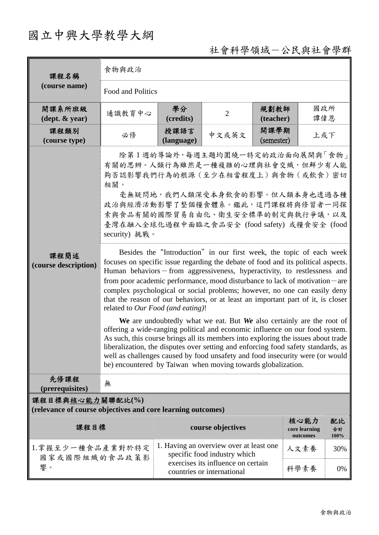## 國立中興大學教學大綱

## 社會科學領域-公民與社會學群

| 課程名稱<br>(course name)                                                           | 食物與政治                                                                                                                                                                                                                                                                                                                                                                                                                                                                                                                                                                                                                                                                                                                                                                                                                                                                                                                                                                                                                                                                                                                                                                                                                                           |                                                                         |                                                                  |                    |                                   |                  |  |  |  |
|---------------------------------------------------------------------------------|-------------------------------------------------------------------------------------------------------------------------------------------------------------------------------------------------------------------------------------------------------------------------------------------------------------------------------------------------------------------------------------------------------------------------------------------------------------------------------------------------------------------------------------------------------------------------------------------------------------------------------------------------------------------------------------------------------------------------------------------------------------------------------------------------------------------------------------------------------------------------------------------------------------------------------------------------------------------------------------------------------------------------------------------------------------------------------------------------------------------------------------------------------------------------------------------------------------------------------------------------|-------------------------------------------------------------------------|------------------------------------------------------------------|--------------------|-----------------------------------|------------------|--|--|--|
|                                                                                 | Food and Politics                                                                                                                                                                                                                                                                                                                                                                                                                                                                                                                                                                                                                                                                                                                                                                                                                                                                                                                                                                                                                                                                                                                                                                                                                               |                                                                         |                                                                  |                    |                                   |                  |  |  |  |
| 開課系所班級<br>$(\text{dept.} \& \text{ year})$                                      | 通識教育中心                                                                                                                                                                                                                                                                                                                                                                                                                                                                                                                                                                                                                                                                                                                                                                                                                                                                                                                                                                                                                                                                                                                                                                                                                                          | 學分<br>(credits)                                                         | $\overline{2}$                                                   | 規劃教師<br>(teacher)  | 國政所<br>譚偉恩                        |                  |  |  |  |
| 課程類別<br>(course type)                                                           | 必修                                                                                                                                                                                                                                                                                                                                                                                                                                                                                                                                                                                                                                                                                                                                                                                                                                                                                                                                                                                                                                                                                                                                                                                                                                              | 授課語言<br>(language)                                                      | 中文或英文                                                            | 開課學期<br>(semester) | 上或下                               |                  |  |  |  |
| 課程簡述<br>(course description)                                                    | 除第1週的導論外,每週主題均圍繞一特定的政治面向展開與「食物」<br>有關的思辨。人類行為雖然是一種複雜的心理與社會交織,但鮮少有人能<br>夠否認影響我們行為的根源(至少在相當程度上)與食物(或飲食)密切<br>相關。<br>毫無疑問地,我們人類深受本身飲食的影響。但人類本身也透過各種<br>政治與經濟活動影響了整個糧食體系。鑑此,這門課程將與修習者一同探<br>索與食品有關的國際貿易自由化、衛生安全標準的制定與執行爭議,以及<br>臺灣在融入全球化過程中面臨之食品安全 (food safety) 或糧食安全 (food<br>security) 挑戰。<br>Besides the "Introduction" in our first week, the topic of each week<br>focuses on specific issue regarding the debate of food and its political aspects.<br>Human behaviors – from aggressiveness, hyperactivity, to restlessness and<br>from poor academic performance, mood disturbance to lack of motivation $-$ are<br>complex psychological or social problems; however, no one can easily deny<br>that the reason of our behaviors, or at least an important part of it, is closer<br>related to Our Food (and eating)!<br>We are undoubtedly what we eat. But We also certainly are the root of<br>offering a wide-ranging political and economic influence on our food system.<br>As such, this course brings all its members into exploring the issues about trade<br>liberalization, the disputes over setting and enforcing food safety standards, as<br>well as challenges caused by food unsafety and food insecurity were (or would |                                                                         |                                                                  |                    |                                   |                  |  |  |  |
| 先修課程<br>(prerequisites)                                                         | 無                                                                                                                                                                                                                                                                                                                                                                                                                                                                                                                                                                                                                                                                                                                                                                                                                                                                                                                                                                                                                                                                                                                                                                                                                                               |                                                                         |                                                                  |                    |                                   |                  |  |  |  |
| 課程目標與核心能力關聯配比(%)<br>(relevance of course objectives and core learning outcomes) |                                                                                                                                                                                                                                                                                                                                                                                                                                                                                                                                                                                                                                                                                                                                                                                                                                                                                                                                                                                                                                                                                                                                                                                                                                                 |                                                                         |                                                                  |                    |                                   |                  |  |  |  |
| 課程目標                                                                            |                                                                                                                                                                                                                                                                                                                                                                                                                                                                                                                                                                                                                                                                                                                                                                                                                                                                                                                                                                                                                                                                                                                                                                                                                                                 |                                                                         | course objectives                                                |                    | 核心能力<br>core learning<br>outcomes | 配比<br>合計<br>100% |  |  |  |
| 1.掌握至少一種食品產業對於特定<br>國家或國際組織的食品政策影                                               |                                                                                                                                                                                                                                                                                                                                                                                                                                                                                                                                                                                                                                                                                                                                                                                                                                                                                                                                                                                                                                                                                                                                                                                                                                                 | 1. Having an overview over at least one<br>specific food industry which |                                                                  |                    | 人文素養                              | 30%              |  |  |  |
| 響。                                                                              |                                                                                                                                                                                                                                                                                                                                                                                                                                                                                                                                                                                                                                                                                                                                                                                                                                                                                                                                                                                                                                                                                                                                                                                                                                                 |                                                                         | exercises its influence on certain<br>countries or international |                    | 科學素養                              | 0%               |  |  |  |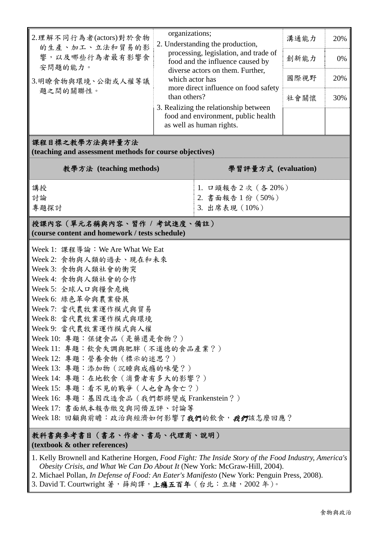| 2.理解不同行為者(actors)對於食物<br>的生產、加工、立法和貿易的影<br>響,以及哪些行為者最有影響食<br>安問題的能力。<br>3.明瞭食物與環境、公衛或人權等議<br>題之間的關聯性。                                                                                                                                                                                                                                                                                                                                                                                                                                                    | organizations;<br>2. Understanding the production,<br>processing, legislation, and trade of<br>food and the influence caused by<br>diverse actors on them. Further,<br>which actor has<br>more direct influence on food safety<br>than others?<br>3. Realizing the relationship between<br>food and environment, public health<br>as well as human rights. |  | 溝通能力<br>創新能力<br>國際視野 | 20%<br>0%<br>20% |  |  |  |  |  |
|----------------------------------------------------------------------------------------------------------------------------------------------------------------------------------------------------------------------------------------------------------------------------------------------------------------------------------------------------------------------------------------------------------------------------------------------------------------------------------------------------------------------------------------------------------|------------------------------------------------------------------------------------------------------------------------------------------------------------------------------------------------------------------------------------------------------------------------------------------------------------------------------------------------------------|--|----------------------|------------------|--|--|--|--|--|
|                                                                                                                                                                                                                                                                                                                                                                                                                                                                                                                                                          |                                                                                                                                                                                                                                                                                                                                                            |  | 社會關懷                 | 30%              |  |  |  |  |  |
| 課程目標之教學方法與評量方法<br>(teaching and assessment methods for course objectives)                                                                                                                                                                                                                                                                                                                                                                                                                                                                                |                                                                                                                                                                                                                                                                                                                                                            |  |                      |                  |  |  |  |  |  |
| 教學方法 (teaching methods)                                                                                                                                                                                                                                                                                                                                                                                                                                                                                                                                  | 學習評量方式 (evaluation)                                                                                                                                                                                                                                                                                                                                        |  |                      |                  |  |  |  |  |  |
| 講授<br>討論<br>專題探討                                                                                                                                                                                                                                                                                                                                                                                                                                                                                                                                         | 1. 口頭報告2次 (各20%)<br>2. 書面報告1份 (50%)<br>3. 出席表現 (10%)                                                                                                                                                                                                                                                                                                       |  |                      |                  |  |  |  |  |  |
| 授課內容(單元名稱與內容、習作 / 考試進度、備註)<br>(course content and homework / tests schedule)                                                                                                                                                                                                                                                                                                                                                                                                                                                                             |                                                                                                                                                                                                                                                                                                                                                            |  |                      |                  |  |  |  |  |  |
| Week 1: 課程導論: We Are What We Eat<br>Week 2: 食物與人類的過去、現在和未來<br>Week 3: 食物與人類社會的衝突<br>Week 4: 食物與人類社會的合作<br>Week 5: 全球人口與糧食危機<br>Week 6: 綠色革命與農業發展<br>Week 7: 當代農牧業運作模式與貿易<br>Week 8: 當代農牧業運作模式與環境<br>Week 9: 當代農牧業運作模式與人權<br>Week 10: 專題: 保健食品 (是藥還是食物?)<br>Week 11: 專題: 飲食失調與肥胖 (不道德的食品產業?)<br>Week 12: 專題: 營養食物 (標示的迷思?)<br>Week 13: 專題:添加物 (沉睡與成癮的味覺?)<br>Week 14: 專題:在地飲食 (消費者有多大的影響?)<br>Week 15: 專題:看不見的戰爭 (人也會為食亡?)<br>Week 16: 專題:基因改造食品 (我們都將變成 Frankenstein?)<br>Week 17: 書面紙本報告繳交與同儕互評、討論等<br>Week 18: 回顧與前瞻:政治與經濟如何影響了我們的飲食, <i>我們</i> 該怎麼回應? |                                                                                                                                                                                                                                                                                                                                                            |  |                      |                  |  |  |  |  |  |
| 教科書與參考書目(書名、作者、書局、代理商、說明)<br>(textbook & other references)                                                                                                                                                                                                                                                                                                                                                                                                                                                                                               |                                                                                                                                                                                                                                                                                                                                                            |  |                      |                  |  |  |  |  |  |
| 1. Kelly Brownell and Katherine Horgen, Food Fight: The Inside Story of the Food Industry, America's<br>Obesity Crisis, and What We Can Do About It (New York: McGraw-Hill, 2004).                                                                                                                                                                                                                                                                                                                                                                       |                                                                                                                                                                                                                                                                                                                                                            |  |                      |                  |  |  |  |  |  |

- 2. Michael Pollan, *In Defense of Food: An Eater's Manifesto* (New York: Penguin Press, 2008).
- 3. David T. Courtwright 著,薛絢譯,**上癮五百年**(台北:立緒,2002 年)。